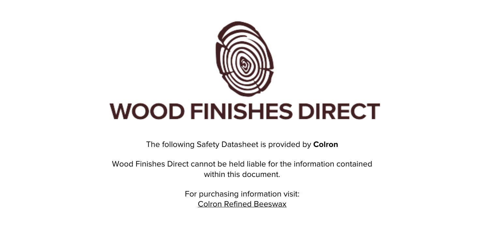

The following Safety Datasheet is provided by **Colron**

Wood Finishes Direct cannot be held liable for the information contained within this document

> For purchasing information visit: [Colron Refined Beeswax](https://www.wood-finishes-direct.com/product/colron-refined-beeswax)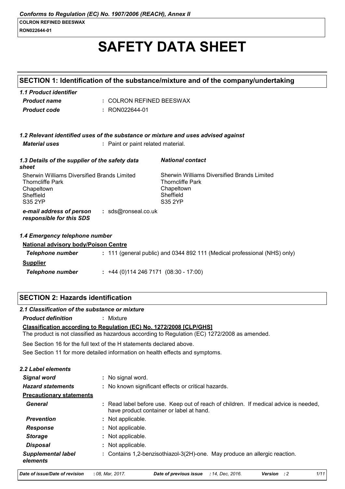# **SAFETY DATA SHEET**

|                                                                                                                     |                                     | SECTION 1: Identification of the substance/mixture and of the company/undertaking                                                |
|---------------------------------------------------------------------------------------------------------------------|-------------------------------------|----------------------------------------------------------------------------------------------------------------------------------|
| 1.1 Product identifier                                                                                              |                                     |                                                                                                                                  |
| <b>Product name</b>                                                                                                 | : COLRON REFINED BEESWAX            |                                                                                                                                  |
| <b>Product code</b>                                                                                                 | : RON022644-01                      |                                                                                                                                  |
|                                                                                                                     |                                     |                                                                                                                                  |
|                                                                                                                     |                                     |                                                                                                                                  |
| <b>Material uses</b>                                                                                                | : Paint or paint related material.  | 1.2 Relevant identified uses of the substance or mixture and uses advised against                                                |
|                                                                                                                     |                                     |                                                                                                                                  |
| 1.3 Details of the supplier of the safety data<br>sheet                                                             |                                     | <b>National contact</b>                                                                                                          |
| Sherwin Williams Diversified Brands Limited<br><b>Thorncliffe Park</b><br>Chapeltown<br>Sheffield<br><b>S35 2YP</b> |                                     | Sherwin Williams Diversified Brands Limited<br><b>Thorncliffe Park</b><br>Chapeltown<br>Sheffield<br><b>S35 2YP</b>              |
| e-mail address of person<br>responsible for this SDS                                                                | : sds@ronseal.co.uk                 |                                                                                                                                  |
| 1.4 Emergency telephone number                                                                                      |                                     |                                                                                                                                  |
| <b>National advisory body/Poison Centre</b>                                                                         |                                     |                                                                                                                                  |
| <b>Telephone number</b>                                                                                             |                                     | : 111 (general public) and 0344 892 111 (Medical professional (NHS) only)                                                        |
| <b>Supplier</b>                                                                                                     |                                     |                                                                                                                                  |
| <b>Telephone number</b>                                                                                             | $: +44(0)1142467171(08:30 - 17:00)$ |                                                                                                                                  |
|                                                                                                                     |                                     |                                                                                                                                  |
| <b>SECTION 2: Hazards identification</b>                                                                            |                                     |                                                                                                                                  |
| 2.1 Classification of the substance or mixture                                                                      |                                     |                                                                                                                                  |
| <b>Product definition</b>                                                                                           | : Mixture                           |                                                                                                                                  |
| Classification according to Regulation (EC) No. 1272/2008 [CLP/GHS]                                                 |                                     | The product is not classified as hazardous according to Regulation (EC) 1272/2008 as amended.                                    |
| See Section 16 for the full text of the H statements declared above.                                                |                                     |                                                                                                                                  |
| See Section 11 for more detailed information on health effects and symptoms.                                        |                                     |                                                                                                                                  |
| 2.2 Label elements                                                                                                  |                                     |                                                                                                                                  |
| <b>Signal word</b>                                                                                                  | : No signal word.                   |                                                                                                                                  |
| <b>Hazard statements</b>                                                                                            |                                     | : No known significant effects or critical hazards.                                                                              |
| <b>Precautionary statements</b>                                                                                     |                                     |                                                                                                                                  |
| <b>General</b>                                                                                                      |                                     | : Read label before use. Keep out of reach of children. If medical advice is needed,<br>have product container or label at hand. |
| <b>Prevention</b>                                                                                                   | Not applicable.                     |                                                                                                                                  |
| <b>Response</b>                                                                                                     | Not applicable.                     |                                                                                                                                  |

**Storage** : Not applicable. **Disposal** : Not applicable.

**Supplemental label** : Contains 1,2-benzisothiazol-3(2H)-one. May produce an allergic reaction. elements

Date of issue/Date of revision : 08, Mar, 2017.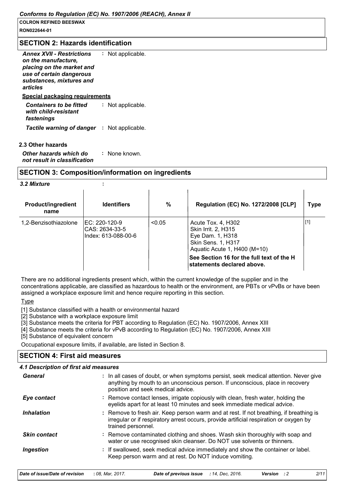RON022644-01

#### **SECTION 2: Hazards identification**

| <b>Annex XVII - Restrictions</b><br>on the manufacture,<br>placing on the market and<br>use of certain dangerous<br>substances, mixtures and<br>articles | : Not applicable. |
|----------------------------------------------------------------------------------------------------------------------------------------------------------|-------------------|
| <u>Special packaging requirements</u>                                                                                                                    |                   |
| <b>Containers to be fitted</b><br>with child-resistant<br>fastenings                                                                                     | : Not applicable. |
| <b>Tactile warning of danger : Not applicable.</b>                                                                                                       |                   |

#### 2.3 Other hazards

Other hazards which do : None known. not result in classification

## **SECTION 3: Composition/information on ingredients**

÷

#### 3.2 Mixture

| <b>Product/ingredient</b><br>name | <b>Identifiers</b>                                      | $\%$   | Regulation (EC) No. 1272/2008 [CLP]                                                                                 | Type  |
|-----------------------------------|---------------------------------------------------------|--------|---------------------------------------------------------------------------------------------------------------------|-------|
| 1,2-Benzisothiazolone             | IEC: 220-120-9<br>CAS: 2634-33-5<br>Index: 613-088-00-6 | < 0.05 | Acute Tox. 4, H302<br>Skin Irrit. 2, H315<br>Eye Dam. 1, H318<br>Skin Sens. 1, H317<br>Aquatic Acute 1, H400 (M=10) | $[1]$ |
|                                   |                                                         |        | See Section 16 for the full text of the H<br>statements declared above.                                             |       |

There are no additional ingredients present which, within the current knowledge of the supplier and in the concentrations applicable, are classified as hazardous to health or the environment, are PBTs or vPvBs or have been assigned a workplace exposure limit and hence require reporting in this section.

#### **Type**

[1] Substance classified with a health or environmental hazard

[2] Substance with a workplace exposure limit

[3] Substance meets the criteria for PBT according to Regulation (EC) No. 1907/2006, Annex XIII

[4] Substance meets the criteria for vPvB according to Regulation (EC) No. 1907/2006, Annex XIII

[5] Substance of equivalent concern

Occupational exposure limits, if available, are listed in Section 8.

#### **SECTION 4: First aid measures**

## 4.1 Description of first aid measures

| General             | : In all cases of doubt, or when symptoms persist, seek medical attention. Never give<br>anything by mouth to an unconscious person. If unconscious, place in recovery<br>position and seek medical advice. |
|---------------------|-------------------------------------------------------------------------------------------------------------------------------------------------------------------------------------------------------------|
| Eye contact         | : Remove contact lenses, irrigate copiously with clean, fresh water, holding the<br>eyelids apart for at least 10 minutes and seek immediate medical advice.                                                |
| <b>Inhalation</b>   | : Remove to fresh air. Keep person warm and at rest. If not breathing, if breathing is<br>irregular or if respiratory arrest occurs, provide artificial respiration or oxygen by<br>trained personnel.      |
| <b>Skin contact</b> | : Remove contaminated clothing and shoes. Wash skin thoroughly with soap and<br>water or use recognised skin cleanser. Do NOT use solvents or thinners.                                                     |
| Ingestion           | : If swallowed, seek medical advice immediately and show the container or label.<br>Keep person warm and at rest. Do NOT induce vomiting.                                                                   |

| Date of issue/Date of revision | : 08. Mar. 2017. | <b>Date of previous issue</b> : 14, Dec. 2016. |  | <b>Version</b> : 2 | 2/11 |
|--------------------------------|------------------|------------------------------------------------|--|--------------------|------|
|--------------------------------|------------------|------------------------------------------------|--|--------------------|------|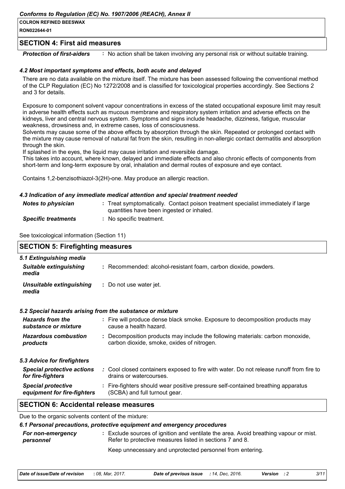RON022644-01

#### **SECTION 4: First aid measures**

**Protection of first-aiders** : No action shall be taken involving any personal risk or without suitable training.

#### 4.2 Most important symptoms and effects, both acute and delayed

There are no data available on the mixture itself. The mixture has been assessed following the conventional method of the CLP Regulation (EC) No 1272/2008 and is classified for toxicological properties accordingly. See Sections 2 and 3 for details.

Exposure to component solvent vapour concentrations in excess of the stated occupational exposure limit may result in adverse health effects such as mucous membrane and respiratory system irritation and adverse effects on the kidneys, liver and central nervous system. Symptoms and signs include headache, dizziness, fatique, muscular weakness, drowsiness and, in extreme cases, loss of consciousness.

Solvents may cause some of the above effects by absorption through the skin. Repeated or prolonged contact with the mixture may cause removal of natural fat from the skin, resulting in non-allergic contact dermatitis and absorption through the skin.

If splashed in the eyes, the liquid may cause irritation and reversible damage.

This takes into account, where known, delayed and immediate effects and also chronic effects of components from short-term and long-term exposure by oral, inhalation and dermal routes of exposure and eye contact.

Contains 1,2-benzisothiazol-3(2H)-one. May produce an allergic reaction.

#### 4.3 Indication of any immediate medical attention and special treatment needed

| <b>Notes to physician</b>  | : Treat symptomatically. Contact poison treatment specialist immediately if large<br>quantities have been ingested or inhaled. |
|----------------------------|--------------------------------------------------------------------------------------------------------------------------------|
| <b>Specific treatments</b> | : No specific treatment.                                                                                                       |

See toxicological information (Section 11)

| <b>SECTION 5: Firefighting measures</b>                           |                                                                                                                              |
|-------------------------------------------------------------------|------------------------------------------------------------------------------------------------------------------------------|
| 5.1 Extinguishing media<br><b>Suitable extinguishing</b><br>media | : Recommended: alcohol-resistant foam, carbon dioxide, powders.                                                              |
| Unsuitable extinguishing<br>media                                 | : Do not use water jet.                                                                                                      |
|                                                                   | 5.2 Special hazards arising from the substance or mixture                                                                    |
| <b>Hazards from the</b><br>substance or mixture                   | : Fire will produce dense black smoke. Exposure to decomposition products may<br>cause a health hazard.                      |
| <b>Hazardous combustion</b><br>products                           | : Decomposition products may include the following materials: carbon monoxide,<br>carbon dioxide, smoke, oxides of nitrogen. |
| 5.3 Advice for firefighters                                       |                                                                                                                              |
| <b>Special protective actions</b><br>for fire-fighters            | : Cool closed containers exposed to fire with water. Do not release runoff from fire to<br>drains or watercourses.           |
| <b>Special protective</b><br>equipment for fire-fighters          | : Fire-fighters should wear positive pressure self-contained breathing apparatus<br>(SCBA) and full turnout gear.            |
| <b>SECTION 6: Accidental release measures</b>                     |                                                                                                                              |

Due to the organic solvents content of the mixture:

| 6.1 Personal precautions, protective equipment and emergency procedures |                                                                                                                                                   |  |
|-------------------------------------------------------------------------|---------------------------------------------------------------------------------------------------------------------------------------------------|--|
| For non-emergency<br>personnel                                          | : Exclude sources of ignition and ventilate the area. Avoid breathing vapour or mist.<br>Refer to protective measures listed in sections 7 and 8. |  |
|                                                                         | Keep unnecessary and unprotected personnel from entering.                                                                                         |  |

| Date of issue/Date of revision | : 08. Mar. 2017. | <b>Date of previous issue</b> : 14, Dec, 2016. |  | <b>Version</b> : 2 | 3/11 |
|--------------------------------|------------------|------------------------------------------------|--|--------------------|------|
|--------------------------------|------------------|------------------------------------------------|--|--------------------|------|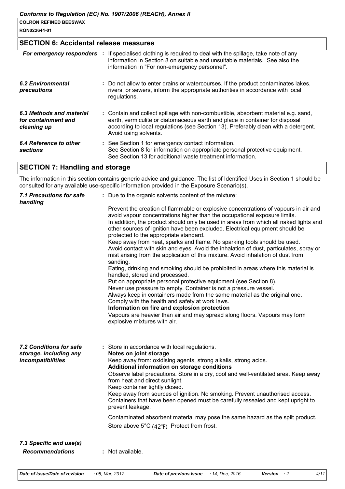#### RON022644-01

# **SECTION 6: Accidental release measures**

| For emergency responders                                       | If specialised clothing is required to deal with the spillage, take note of any<br>information in Section 8 on suitable and unsuitable materials. See also the<br>information in "For non-emergency personnel".                                                                    |
|----------------------------------------------------------------|------------------------------------------------------------------------------------------------------------------------------------------------------------------------------------------------------------------------------------------------------------------------------------|
| 6.2 Environmental<br>precautions                               | : Do not allow to enter drains or watercourses. If the product contaminates lakes,<br>rivers, or sewers, inform the appropriate authorities in accordance with local<br>regulations.                                                                                               |
| 6.3 Methods and material<br>for containment and<br>cleaning up | : Contain and collect spillage with non-combustible, absorbent material e.g. sand,<br>earth, vermiculite or diatomaceous earth and place in container for disposal<br>according to local regulations (see Section 13). Preferably clean with a detergent.<br>Avoid using solvents. |
| 6.4 Reference to other<br><b>sections</b>                      | : See Section 1 for emergency contact information.<br>See Section 8 for information on appropriate personal protective equipment.<br>See Section 13 for additional waste treatment information.                                                                                    |

# **SECTION 7: Handling and storage**

The information in this section contains generic advice and guidance. The list of Identified Uses in Section 1 should be consulted for any available use-specific information provided in the Exposure Scenario(s).

| <b>7.1 Precautions for safe</b><br>handling              | : Due to the organic solvents content of the mixture:                                                                                                                                                                                                                                                                                                                               |
|----------------------------------------------------------|-------------------------------------------------------------------------------------------------------------------------------------------------------------------------------------------------------------------------------------------------------------------------------------------------------------------------------------------------------------------------------------|
|                                                          | Prevent the creation of flammable or explosive concentrations of vapours in air and<br>avoid vapour concentrations higher than the occupational exposure limits.<br>In addition, the product should only be used in areas from which all naked lights and<br>other sources of ignition have been excluded. Electrical equipment should be<br>protected to the appropriate standard. |
|                                                          | Keep away from heat, sparks and flame. No sparking tools should be used.<br>Avoid contact with skin and eyes. Avoid the inhalation of dust, particulates, spray or<br>mist arising from the application of this mixture. Avoid inhalation of dust from<br>sanding.                                                                                                                  |
|                                                          | Eating, drinking and smoking should be prohibited in areas where this material is<br>handled, stored and processed.                                                                                                                                                                                                                                                                 |
|                                                          | Put on appropriate personal protective equipment (see Section 8).<br>Never use pressure to empty. Container is not a pressure vessel.                                                                                                                                                                                                                                               |
|                                                          | Always keep in containers made from the same material as the original one.                                                                                                                                                                                                                                                                                                          |
|                                                          | Comply with the health and safety at work laws.<br>Information on fire and explosion protection                                                                                                                                                                                                                                                                                     |
|                                                          | Vapours are heavier than air and may spread along floors. Vapours may form<br>explosive mixtures with air.                                                                                                                                                                                                                                                                          |
| <b>7.2 Conditions for safe</b><br>storage, including any | : Store in accordance with local regulations.<br>Notes on joint storage                                                                                                                                                                                                                                                                                                             |
| incompatibilities                                        | Keep away from: oxidising agents, strong alkalis, strong acids.<br>Additional information on storage conditions                                                                                                                                                                                                                                                                     |
|                                                          | Observe label precautions. Store in a dry, cool and well-ventilated area. Keep away<br>from heat and direct sunlight.<br>Keep container tightly closed.                                                                                                                                                                                                                             |
|                                                          | Keep away from sources of ignition. No smoking. Prevent unauthorised access.<br>Containers that have been opened must be carefully resealed and kept upright to<br>prevent leakage.                                                                                                                                                                                                 |
|                                                          | Contaminated absorbent material may pose the same hazard as the spilt product.                                                                                                                                                                                                                                                                                                      |
|                                                          | Store above $5^{\circ}C$ (42 $^{\circ}F$ ) Protect from frost.                                                                                                                                                                                                                                                                                                                      |
| 7.3 Specific end use(s)                                  |                                                                                                                                                                                                                                                                                                                                                                                     |
| <b>Recommendations</b>                                   | : Not available.                                                                                                                                                                                                                                                                                                                                                                    |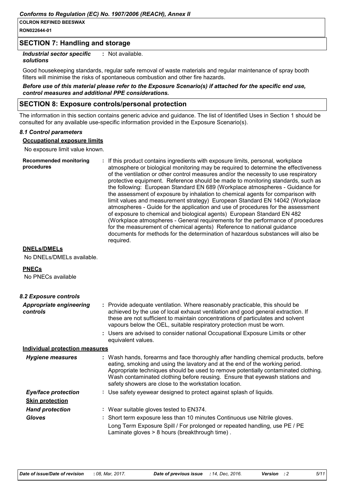RON022644-01

## **SECTION 7: Handling and storage**

**Industrial sector specific** : Not available.

#### solutions

Good housekeeping standards, regular safe removal of waste materials and regular maintenance of spray booth filters will minimise the risks of spontaneous combustion and other fire hazards.

#### Before use of this material please refer to the Exposure Scenario(s) if attached for the specific end use, control measures and additional PPE considerations.

#### **SECTION 8: Exposure controls/personal protection**

The information in this section contains generic advice and quidance. The list of Identified Uses in Section 1 should be consulted for any available use-specific information provided in the Exposure Scenario(s).

#### 8.1 Control parameters

**Occupational exposure limits** 

No exposure limit value known.

| <b>Recommended monitoring</b><br>procedures | : If this product contains ingredients with exposure limits, personal, workplace<br>atmosphere or biological monitoring may be required to determine the effectiveness<br>of the ventilation or other control measures and/or the necessity to use respiratory<br>protective equipment. Reference should be made to monitoring standards, such as<br>the following: European Standard EN 689 (Workplace atmospheres - Guidance for<br>the assessment of exposure by inhalation to chemical agents for comparison with<br>limit values and measurement strategy) European Standard EN 14042 (Workplace<br>atmospheres - Guide for the application and use of procedures for the assessment<br>of exposure to chemical and biological agents) European Standard EN 482<br>(Workplace atmospheres - General requirements for the performance of procedures<br>for the measurement of chemical agents) Reference to national guidance<br>documents for methods for the determination of hazardous substances will also be |
|---------------------------------------------|-----------------------------------------------------------------------------------------------------------------------------------------------------------------------------------------------------------------------------------------------------------------------------------------------------------------------------------------------------------------------------------------------------------------------------------------------------------------------------------------------------------------------------------------------------------------------------------------------------------------------------------------------------------------------------------------------------------------------------------------------------------------------------------------------------------------------------------------------------------------------------------------------------------------------------------------------------------------------------------------------------------------------|
|                                             | reguired.                                                                                                                                                                                                                                                                                                                                                                                                                                                                                                                                                                                                                                                                                                                                                                                                                                                                                                                                                                                                             |

#### **DNELs/DMELs**

No DNELs/DMELs available.

#### **PNECs**

No PNECs available

| 8.2 Exposure controls                      |                                                                                                                                                                                                                                                                                                                                                                                                   |
|--------------------------------------------|---------------------------------------------------------------------------------------------------------------------------------------------------------------------------------------------------------------------------------------------------------------------------------------------------------------------------------------------------------------------------------------------------|
| <b>Appropriate engineering</b><br>controls | : Provide adequate ventilation. Where reasonably practicable, this should be<br>achieved by the use of local exhaust ventilation and good general extraction. If<br>these are not sufficient to maintain concentrations of particulates and solvent<br>vapours below the OEL, suitable respiratory protection must be worn.                                                                       |
|                                            | : Users are advised to consider national Occupational Exposure Limits or other<br>equivalent values.                                                                                                                                                                                                                                                                                              |
| <u>Individual protection measures</u>      |                                                                                                                                                                                                                                                                                                                                                                                                   |
| <b>Hygiene measures</b>                    | : Wash hands, forearms and face thoroughly after handling chemical products, before<br>eating, smoking and using the lavatory and at the end of the working period.<br>Appropriate techniques should be used to remove potentially contaminated clothing.<br>Wash contaminated clothing before reusing. Ensure that eyewash stations and<br>safety showers are close to the workstation location. |
| <b>Eye/face protection</b>                 | : Use safety eyewear designed to protect against splash of liquids.                                                                                                                                                                                                                                                                                                                               |
| <b>Skin protection</b>                     |                                                                                                                                                                                                                                                                                                                                                                                                   |
| <b>Hand protection</b>                     | : Wear suitable gloves tested to $EN374$ .                                                                                                                                                                                                                                                                                                                                                        |
| <b>Gloves</b>                              | : Short term exposure less than 10 minutes Continuous use Nitrile gloves.<br>Long Term Exposure Spill / For prolonged or repeated handling, use PE / PE<br>Laminate gloves > 8 hours (breakthrough time).                                                                                                                                                                                         |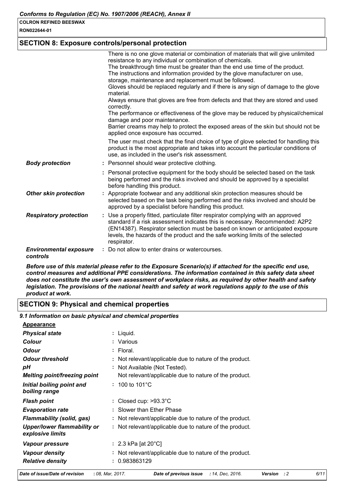RON022644-01

#### **SECTION 8: Exposure controls/personal protection**

|                                           | There is no one glove material or combination of materials that will give unlimited<br>resistance to any individual or combination of chemicals.                                                                                                                                                                                                     |
|-------------------------------------------|------------------------------------------------------------------------------------------------------------------------------------------------------------------------------------------------------------------------------------------------------------------------------------------------------------------------------------------------------|
|                                           | The breakthrough time must be greater than the end use time of the product.<br>The instructions and information provided by the glove manufacturer on use,<br>storage, maintenance and replacement must be followed.<br>Gloves should be replaced regularly and if there is any sign of damage to the glove<br>material.                             |
|                                           | Always ensure that gloves are free from defects and that they are stored and used<br>correctly.                                                                                                                                                                                                                                                      |
|                                           | The performance or effectiveness of the glove may be reduced by physical/chemical<br>damage and poor maintenance.                                                                                                                                                                                                                                    |
|                                           | Barrier creams may help to protect the exposed areas of the skin but should not be<br>applied once exposure has occurred.                                                                                                                                                                                                                            |
|                                           | The user must check that the final choice of type of glove selected for handling this<br>product is the most appropriate and takes into account the particular conditions of<br>use, as included in the user's risk assessment.                                                                                                                      |
| <b>Body protection</b>                    | : Personnel should wear protective clothing.                                                                                                                                                                                                                                                                                                         |
|                                           | : Personal protective equipment for the body should be selected based on the task<br>being performed and the risks involved and should be approved by a specialist<br>before handling this product.                                                                                                                                                  |
| <b>Other skin protection</b>              | : Appropriate footwear and any additional skin protection measures should be<br>selected based on the task being performed and the risks involved and should be<br>approved by a specialist before handling this product.                                                                                                                            |
| <b>Respiratory protection</b>             | : Use a properly fitted, particulate filter respirator complying with an approved<br>standard if a risk assessment indicates this is necessary. Recommended: A2P2<br>(EN14387). Respirator selection must be based on known or anticipated exposure<br>levels, the hazards of the product and the safe working limits of the selected<br>respirator. |
| <b>Environmental exposure</b><br>controls | : Do not allow to enter drains or watercourses.                                                                                                                                                                                                                                                                                                      |

Before use of this material please refer to the Exposure Scenario(s) if attached for the specific end use, control measures and additional PPE considerations. The information contained in this safety data sheet does not constitute the user's own assessment of workplace risks, as required by other health and safety legislation. The provisions of the national health and safety at work regulations apply to the use of this product at work.

#### **SECTION 9: Physical and chemical properties**

#### 9.1 Information on basic physical and chemical properties

| <b>Appearance</b>                               |                                                         |
|-------------------------------------------------|---------------------------------------------------------|
| <b>Physical state</b>                           | : Liquid.                                               |
| Colour                                          | : Various                                               |
| <b>Odour</b>                                    | : Floral.                                               |
| <b>Odour threshold</b>                          | : Not relevant/applicable due to nature of the product. |
| pН                                              | : Not Available (Not Tested).                           |
| Melting point/freezing point                    | Not relevant/applicable due to nature of the product.   |
| Initial boiling point and<br>boiling range      | $: 100 \text{ to } 101^{\circ} \text{C}$                |
| <b>Flash point</b>                              | : Closed cup: $>93.3^{\circ}$ C                         |
| <b>Evaporation rate</b>                         | : Slower than Ether Phase                               |
| Flammability (solid, gas)                       | : Not relevant/applicable due to nature of the product. |
| Upper/lower flammability or<br>explosive limits | : Not relevant/applicable due to nature of the product. |
| Vapour pressure                                 | : 2.3 kPa [at 20 $^{\circ}$ C]                          |
| <b>Vapour density</b>                           | : Not relevant/applicable due to nature of the product. |
| <b>Relative density</b>                         | 0.983863129                                             |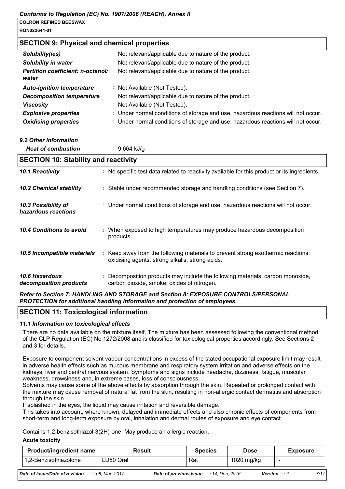#### **SECTION 9: Physical and chemical properties**

| Solubility(ies)                            | Not relevant/applicable due to nature of the product.                             |
|--------------------------------------------|-----------------------------------------------------------------------------------|
| <b>Solubility in water</b>                 | Not relevant/applicable due to nature of the product.                             |
| Partition coefficient: n-octanol/<br>water | Not relevant/applicable due to nature of the product.                             |
| <b>Auto-ignition temperature</b>           | : Not Available (Not Tested).                                                     |
| <b>Decomposition temperature</b>           | Not relevant/applicable due to nature of the product.                             |
| <b>Viscosity</b>                           | : Not Available (Not Tested).                                                     |
| <b>Explosive properties</b>                | : Under normal conditions of storage and use, hazardous reactions will not occur. |
| <b>Oxidising properties</b>                | : Under normal conditions of storage and use, hazardous reactions will not occur. |

#### 9.2 Other information

| <b>Heat of combustion</b> |  | $: 9.664$ kJ/g |
|---------------------------|--|----------------|
|---------------------------|--|----------------|

| <b>SECTION 10: Stability and reactivity</b> |    |                                                                                                                                   |  |  |
|---------------------------------------------|----|-----------------------------------------------------------------------------------------------------------------------------------|--|--|
| 10.1 Reactivity                             |    | : No specific test data related to reactivity available for this product or its ingredients.                                      |  |  |
| <b>10.2 Chemical stability</b>              |    | : Stable under recommended storage and handling conditions (see Section 7).                                                       |  |  |
| 10.3 Possibility of<br>hazardous reactions  |    | : Under normal conditions of storage and use, hazardous reactions will not occur.                                                 |  |  |
| 10.4 Conditions to avoid                    |    | : When exposed to high temperatures may produce hazardous decomposition<br>products.                                              |  |  |
| 10.5 Incompatible materials                 | ÷. | Keep away from the following materials to prevent strong exothermic reactions:<br>oxidising agents, strong alkalis, strong acids. |  |  |
| 10.6 Hazardous<br>decomposition products    |    | Decomposition products may include the following materials: carbon monoxide,<br>carbon dioxide, smoke, oxides of nitrogen.        |  |  |

#### Refer to Section 7: HANDLING AND STORAGE and Section 8: EXPOSURE CONTROLS/PERSONAL PROTECTION for additional handling information and protection of employees.

#### **SECTION 11: Toxicological information**

#### 11.1 Information on toxicological effects

There are no data available on the mixture itself. The mixture has been assessed following the conventional method of the CLP Regulation (EC) No 1272/2008 and is classified for toxicological properties accordingly. See Sections 2 and 3 for details.

Exposure to component solvent vapour concentrations in excess of the stated occupational exposure limit may result in adverse health effects such as mucous membrane and respiratory system irritation and adverse effects on the kidneys, liver and central nervous system. Symptoms and signs include headache, dizziness, fatique, muscular weakness, drowsiness and, in extreme cases, loss of consciousness.

Solvents may cause some of the above effects by absorption through the skin. Repeated or prolonged contact with the mixture may cause removal of natural fat from the skin, resulting in non-allergic contact dermatitis and absorption through the skin.

If splashed in the eyes, the liquid may cause irritation and reversible damage.

This takes into account, where known, delayed and immediate effects and also chronic effects of components from short-term and long-term exposure by oral, inhalation and dermal routes of exposure and eye contact.

Contains 1,2-benzisothiazol-3(2H)-one. May produce an allergic reaction.

#### **Acute toxicity**

l 1

| <b>Product/ingredient name</b>        | <b>Result</b>    |                        | <b>Species</b>   | Dose       |     | <b>Exposure</b> |
|---------------------------------------|------------------|------------------------|------------------|------------|-----|-----------------|
| 1,2-Benzisothiazolone                 | LD50 Oral        | Rat                    |                  | 1020 mg/kg |     |                 |
| <b>Date of issue/Date of revision</b> | : 08. Mar. 2017. | Date of previous issue | : 14. Dec. 2016. | Version    | - 2 | 7/11            |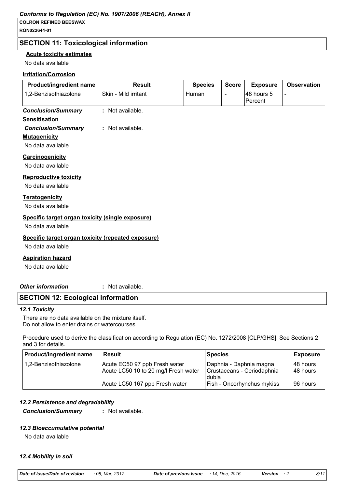#### Conforms to Regulation (EC) No. 1907/2006 (REACH), Annex II

#### **COLRON REFINED BEESWAX**

RON022644-01

#### **SECTION 11: Toxicological information**

#### **Acute toxicity estimates**

No data available

#### **Irritation/Corrosion**

| Product/ingredient name                                               | <b>Result</b>        | <b>Species</b> | <b>Score</b>   | <b>Exposure</b>       | <b>Observation</b> |
|-----------------------------------------------------------------------|----------------------|----------------|----------------|-----------------------|--------------------|
| 1,2-Benzisothiazolone                                                 | Skin - Mild irritant | Human          | $\blacksquare$ | 48 hours 5<br>Percent | L,                 |
| <b>Conclusion/Summary</b>                                             | : Not available.     |                |                |                       |                    |
| <b>Sensitisation</b>                                                  |                      |                |                |                       |                    |
| <b>Conclusion/Summary</b>                                             | : Not available.     |                |                |                       |                    |
| <b>Mutagenicity</b>                                                   |                      |                |                |                       |                    |
| No data available                                                     |                      |                |                |                       |                    |
| <b>Carcinogenicity</b>                                                |                      |                |                |                       |                    |
| No data available                                                     |                      |                |                |                       |                    |
| <b>Reproductive toxicity</b><br>No data available                     |                      |                |                |                       |                    |
| <b>Teratogenicity</b><br>No data available                            |                      |                |                |                       |                    |
| Specific target organ toxicity (single exposure)<br>No data available |                      |                |                |                       |                    |
| Specific target organ toxicity (repeated exposure)                    |                      |                |                |                       |                    |
| No data available                                                     |                      |                |                |                       |                    |
| <b>Aspiration hazard</b><br>No data available                         |                      |                |                |                       |                    |

**Other information** 

: Not available.

#### **SECTION 12: Ecological information**

#### 12.1 Toxicity

There are no data available on the mixture itself. Do not allow to enter drains or watercourses.

Procedure used to derive the classification according to Regulation (EC) No. 1272/2008 [CLP/GHS]. See Sections 2 and 3 for details.

| <b>Product/ingredient name</b> | Result                                                                | <b>Species</b>                                                 | <b>Exposure</b>       |
|--------------------------------|-----------------------------------------------------------------------|----------------------------------------------------------------|-----------------------|
| 1,2-Benzisothiazolone          | Acute EC50 97 ppb Fresh water<br>Acute LC50 10 to 20 mg/l Fresh water | Daphnia - Daphnia magna<br>Crustaceans - Ceriodaphnia<br>dubia | 48 hours<br>148 hours |
|                                | Acute LC50 167 ppb Fresh water                                        | Fish - Oncorhynchus mykiss                                     | 96 hours              |

#### 12.2 Persistence and degradability

**Conclusion/Summary** 

: Not available.

#### 12.3 Bioaccumulative potential

No data available

#### 12.4 Mobility in soil

| Date of issue/Date of revision |  | : 08, Mar, 2017. |
|--------------------------------|--|------------------|
|--------------------------------|--|------------------|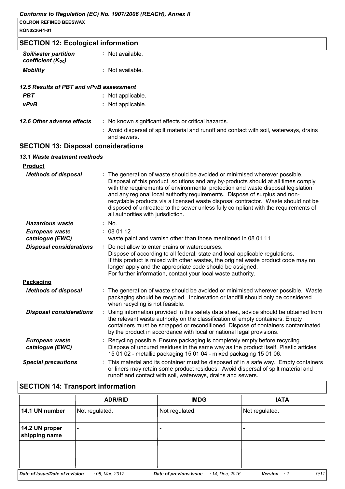| RON022644-01                                     |                                                                                                                                                                                                                                                                                                                                                                                                                                                                                                                                                      |  |  |  |  |
|--------------------------------------------------|------------------------------------------------------------------------------------------------------------------------------------------------------------------------------------------------------------------------------------------------------------------------------------------------------------------------------------------------------------------------------------------------------------------------------------------------------------------------------------------------------------------------------------------------------|--|--|--|--|
| <b>SECTION 12: Ecological information</b>        |                                                                                                                                                                                                                                                                                                                                                                                                                                                                                                                                                      |  |  |  |  |
| <b>Soil/water partition</b><br>coefficient (Koc) | : Not available.                                                                                                                                                                                                                                                                                                                                                                                                                                                                                                                                     |  |  |  |  |
| <b>Mobility</b>                                  | : Not available.                                                                                                                                                                                                                                                                                                                                                                                                                                                                                                                                     |  |  |  |  |
| 12.5 Results of PBT and vPvB assessment          |                                                                                                                                                                                                                                                                                                                                                                                                                                                                                                                                                      |  |  |  |  |
| <b>PBT</b>                                       | : Not applicable.                                                                                                                                                                                                                                                                                                                                                                                                                                                                                                                                    |  |  |  |  |
| vPvB                                             | : Not applicable.                                                                                                                                                                                                                                                                                                                                                                                                                                                                                                                                    |  |  |  |  |
| 12.6 Other adverse effects                       | : No known significant effects or critical hazards.                                                                                                                                                                                                                                                                                                                                                                                                                                                                                                  |  |  |  |  |
|                                                  | : Avoid dispersal of spilt material and runoff and contact with soil, waterways, drains<br>and sewers.                                                                                                                                                                                                                                                                                                                                                                                                                                               |  |  |  |  |
| <b>SECTION 13: Disposal considerations</b>       |                                                                                                                                                                                                                                                                                                                                                                                                                                                                                                                                                      |  |  |  |  |
| 13.1 Waste treatment methods                     |                                                                                                                                                                                                                                                                                                                                                                                                                                                                                                                                                      |  |  |  |  |
| <b>Product</b>                                   |                                                                                                                                                                                                                                                                                                                                                                                                                                                                                                                                                      |  |  |  |  |
| <b>Methods of disposal</b>                       | : The generation of waste should be avoided or minimised wherever possible.<br>Disposal of this product, solutions and any by-products should at all times comply<br>with the requirements of environmental protection and waste disposal legislation<br>and any regional local authority requirements. Dispose of surplus and non-<br>recyclable products via a licensed waste disposal contractor. Waste should not be<br>disposed of untreated to the sewer unless fully compliant with the requirements of<br>all authorities with jurisdiction. |  |  |  |  |
| <b>Hazardous waste</b>                           | : No.                                                                                                                                                                                                                                                                                                                                                                                                                                                                                                                                                |  |  |  |  |
| European waste<br>catalogue (EWC)                | : 080112<br>waste paint and varnish other than those mentioned in 08 01 11                                                                                                                                                                                                                                                                                                                                                                                                                                                                           |  |  |  |  |
| <b>Disposal considerations</b>                   | : Do not allow to enter drains or watercourses.<br>Dispose of according to all federal, state and local applicable regulations.<br>If this product is mixed with other wastes, the original waste product code may no<br>longer apply and the appropriate code should be assigned.<br>For further information, contact your local waste authority.                                                                                                                                                                                                   |  |  |  |  |
| Packaging                                        |                                                                                                                                                                                                                                                                                                                                                                                                                                                                                                                                                      |  |  |  |  |
| <b>Methods of disposal</b>                       | : The generation of waste should be avoided or minimised wherever possible. Waste<br>packaging should be recycled. Incineration or landfill should only be considered<br>when recycling is not feasible.                                                                                                                                                                                                                                                                                                                                             |  |  |  |  |
| <b>Disposal considerations</b>                   | Using information provided in this safety data sheet, advice should be obtained from<br>the relevant waste authority on the classification of empty containers. Empty<br>containers must be scrapped or reconditioned. Dispose of containers contaminated<br>by the product in accordance with local or national legal provisions.                                                                                                                                                                                                                   |  |  |  |  |
| European waste<br>catalogue (EWC)                | Recycling possible. Ensure packaging is completely empty before recycling.<br>Dispose of uncured residues in the same way as the product itself. Plastic articles<br>15 01 02 - metallic packaging 15 01 04 - mixed packaging 15 01 06.                                                                                                                                                                                                                                                                                                              |  |  |  |  |

**Special precautions** 

: This material and its container must be disposed of in a safe way. Empty containers or liners may retain some product residues. Avoid dispersal of spilt material and runoff and contact with soil, waterways, drains and sewers.

#### **SECTION 14: Transport information IMDG IATA ADR/RID** 14.1 UN number Not regulated. Not regulated. Not regulated. 14.2 UN proper  $\overline{a}$  $\overline{a}$ shipping name Date of issue/Date of revision : 08, Mar, 2017. Date of previous issue : 14, Dec, 2016. Version : 2  $9/11$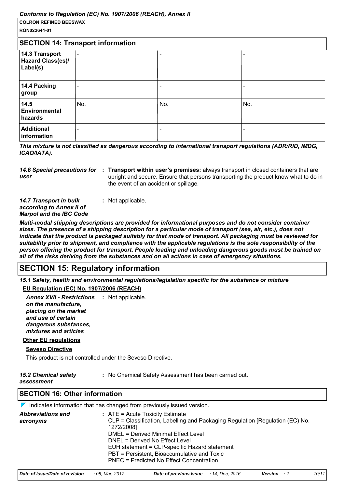| ,,<br><b>COLRON REFINED BEESWAX</b>                    |     |                          |     |
|--------------------------------------------------------|-----|--------------------------|-----|
| RON022644-01                                           |     |                          |     |
| <b>SECTION 14: Transport information</b>               |     |                          |     |
| 14.3 Transport<br><b>Hazard Class(es)/</b><br>Label(s) |     | $\overline{\phantom{0}}$ |     |
| 14.4 Packing<br>group                                  |     |                          |     |
| 14.5<br>Environmental<br>hazards                       | No. | No.                      | No. |
| <b>Additional</b><br>information                       |     |                          |     |

This mixture is not classified as dangerous according to international transport regulations (ADR/RID, IMDG, ICAO/IATA).

|      | 14.6 Special precautions for : Transport within user's premises: always transport in closed containers that are |
|------|-----------------------------------------------------------------------------------------------------------------|
| user | upright and secure. Ensure that persons transporting the product know what to do in                             |
|      | the event of an accident or spillage.                                                                           |

| <b>14.7 Transport in bulk</b>  | : Not applicable. |
|--------------------------------|-------------------|
| according to Annex II of       |                   |
| <b>Marpol and the IBC Code</b> |                   |

Multi-modal shipping descriptions are provided for informational purposes and do not consider container sizes. The presence of a shipping description for a particular mode of transport (sea, air, etc.), does not indicate that the product is packaged suitably for that mode of transport. All packaging must be reviewed for suitability prior to shipment, and compliance with the applicable regulations is the sole responsibility of the person offering the product for transport. People loading and unloading dangerous goods must be trained on all of the risks deriving from the substances and on all actions in case of emergency situations.

# **SECTION 15: Regulatory information**

15.1 Safety, health and environmental regulations/legislation specific for the substance or mixture

#### EU Regulation (EC) No. 1907/2006 (REACH)

Annex XVII - Restrictions : Not applicable. on the manufacture. placing on the market and use of certain dangerous substances, mixtures and articles

## **Other EU regulations**

#### **Seveso Directive**

This product is not controlled under the Seveso Directive.

| <b>15.2 Chemical safety</b> | : No Chemical Safety Assessment has been carried out. |
|-----------------------------|-------------------------------------------------------|
| assessment                  |                                                       |

#### **SECTION 16: Other information**

|                                      | $\nabla$ Indicates information that has changed from previously issued version.                                                                                                                                                                                                                                                                       |
|--------------------------------------|-------------------------------------------------------------------------------------------------------------------------------------------------------------------------------------------------------------------------------------------------------------------------------------------------------------------------------------------------------|
| <b>Abbreviations and</b><br>acronyms | $:$ ATE = Acute Toxicity Estimate<br>CLP = Classification, Labelling and Packaging Regulation [Regulation (EC) No.<br>1272/2008]<br>DMEL = Derived Minimal Effect Level<br>DNEL = Derived No Effect Level<br>EUH statement = CLP-specific Hazard statement<br>PBT = Persistent, Bioaccumulative and Toxic<br>PNEC = Predicted No Effect Concentration |
|                                      |                                                                                                                                                                                                                                                                                                                                                       |

| Date of issue/Date of revision | : 08. Mar. 2017. | <b>Date of previous issue</b> : 14, Dec, 2016. |  | <b>Version</b> : 2 | 10/11 |
|--------------------------------|------------------|------------------------------------------------|--|--------------------|-------|
|--------------------------------|------------------|------------------------------------------------|--|--------------------|-------|